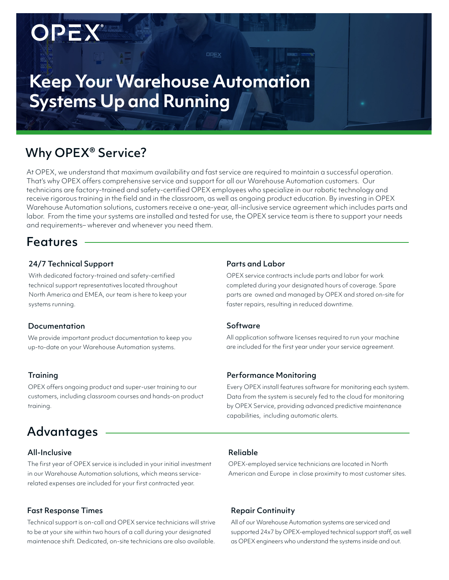# **Keep Your Warehouse Automation Systems Up and Running**

# Why OPEX® Service?

OPEX

At OPEX, we understand that maximum availability and fast service are required to maintain a successful operation. That's why OPEX offers comprehensive service and support for all our Warehouse Automation customers. Our technicians are factory-trained and safety-certified OPEX employees who specialize in our robotic technology and receive rigorous training in the field and in the classroom, as well as ongoing product education. By investing in OPEX Warehouse Automation solutions, customers receive a one-year, all-inclusive service agreement which includes parts and labor. From the time your systems are installed and tested for use, the OPEX service team is there to support your needs and requirements– wherever and whenever you need them.

OPEX

### Features

### 24/7 Technical Support

With dedicated factory-trained and safety-certified technical support representatives located throughout North America and EMEA, our team is here to keep your systems running.

### Documentation

We provide important product documentation to keep you up-to-date on your Warehouse Automation systems.

### **Training**

OPEX offers ongoing product and super-user training to our customers, including classroom courses and hands-on product training.

# **Advantages**

### All-Inclusive

The first year of OPEX service is included in your initial investment in our Warehouse Automation solutions, which means servicerelated expenses are included for your first contracted year.

### Fast Response Times

Technical support is on-call and OPEX service technicians will strive to be at your site within two hours of a call during your designated maintenace shift. Dedicated, on-site technicians are also available.

#### Parts and Labor

OPEX service contracts include parts and labor for work completed during your designated hours of coverage. Spare parts are owned and managed by OPEX and stored on-site for faster repairs, resulting in reduced downtime.

#### Software

All application software licenses required to run your machine are included for the first year under your service agreement.

#### Performance Monitoring

Every OPEX install features software for monitoring each system. Data from the system is securely fed to the cloud for monitoring by OPEX Service, providing advanced predictive maintenance capabilities, including automatic alerts.

#### Reliable

OPEX-employed service technicians are located in North American and Europe in close proximity to most customer sites.

### Repair Continuity

All of our Warehouse Automation systems are serviced and supported 24x7 by OPEX-employed technical support staff, as well as OPEX engineers who understand the systems inside and out.